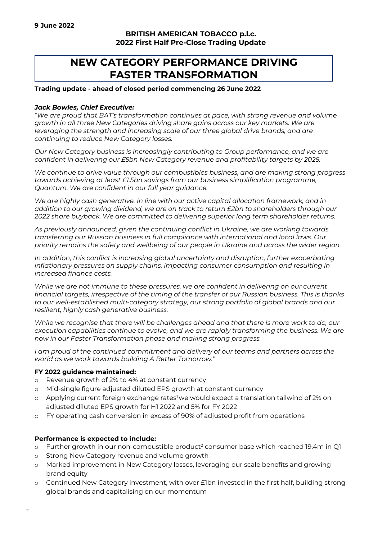## **BRITISH AMERICAN TOBACCO p.l.c. 2022 First Half Pre-Close Trading Update**

# **NEW CATEGORY PERFORMANCE DRIVING FASTER TRANSFORMATION**

### **Trading update - ahead of closed period commencing 26 June 2022**

### *Jack Bowles, Chief Executive:*

*"We are proud that BAT's transformation continues at pace, with strong revenue and volume growth in all three New Categories driving share gains across our key markets. We are leveraging the strength and increasing scale of our three global drive brands, and are continuing to reduce New Category losses.* 

*Our New Category business is increasingly contributing to Group performance, and we are confident in delivering our £5bn New Category revenue and profitability targets by 2025.* 

*We continue to drive value through our combustibles business, and are making strong progress towards achieving at least £1.5bn savings from our business simplification programme, Quantum. We are confident in our full year guidance.* 

*We are highly cash generative. In line with our active capital allocation framework, and in addition to our growing dividend, we are on track to return £2bn to shareholders through our 2022 share buyback. We are committed to delivering superior long term shareholder returns.* 

*As previously announced, given the continuing conflict in Ukraine, we are working towards transferring our Russian business in full compliance with international and local laws. Our priority remains the safety and wellbeing of our people in Ukraine and across the wider region.* 

*In addition, this conflict is increasing global uncertainty and disruption, further exacerbating inflationary pressures on supply chains, impacting consumer consumption and resulting in increased finance costs.* 

*While we are not immune to these pressures, we are confident in delivering on our current financial targets, irrespective of the timing of the transfer of our Russian business. This is thanks to our well-established multi-category strategy, our strong portfolio of global brands and our resilient, highly cash generative business.* 

*While we recognise that there will be challenges ahead and that there is more work to do, our execution capabilities continue to evolve, and we are rapidly transforming the business. We are now in our Faster Transformation phase and making strong progress.* 

*I am proud of the continued commitment and delivery of our teams and partners across the world as we work towards building A Better Tomorrow."* 

### **FY 2022 guidance maintained:**

- o Revenue growth of 2% to 4% at constant currency
- o Mid-single figure adjusted diluted EPS growth at constant currency
- adjusted diluted EPS growth for H1 2022 and 5% for FY 2022  $\circ$  Applying current foreign exchange rates<sup>1</sup> we would expect a translation tailwind of 2% on
- o FY operating cash conversion in excess of 90% of adjusted profit from operations

### **Performance is expected to include:**

- o Further growth in our non-combustible product<sup>2</sup> consumer base which reached 19.4m in Q1
- o Strong New Category revenue and volume growth
- o Marked improvement in New Category losses, leveraging our scale benefits and growing brand equity
- o Continued New Category investment, with over £1bn invested in the first half, building strong global brands and capitalising on our momentum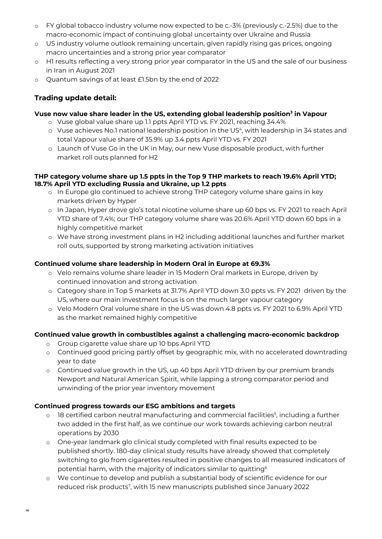- o FY global tobacco industry volume now expected to be c.-3% (previously c.-2.5%) due to the macro-economic impact of continuing global uncertainty over Ukraine and Russia
- o US industry volume outlook remaining uncertain, given rapidly rising gas prices, ongoing macro uncertainties and a strong prior year comparator
- o H1 results reflecting a very strong prior year comparator in the US and the sale of our business in Iran in August 2021
- o Quantum savings of at least £1.5bn by the end of 2022

# **Trading update detail:**

# **Vuse now value share leader in the US, extending global leadership position3 in Vapour**

- o Vuse global value share up 1.1 ppts April YTD vs. FY 2021, reaching 34.4%
- o Vuse achieves No.1 national leadership position in the US4, with leadership in 34 states and total Vapour value share of 35.9% up 3.4 ppts April YTD vs. FY 2021
- o Launch of Vuse Go in the UK in May, our new Vuse disposable product, with further market roll outs planned for H2

### **THP category volume share up 1.5 ppts in the Top 9 THP markets to reach 19.6% April YTD; 18.7% April YTD excluding Russia and Ukraine, up 1.2 ppts**

- o In Europe glo continued to achieve strong THP category volume share gains in key markets driven by Hyper
- YTD share of 7.4%; our THP category volume share was 20.6% April YTD down 60 bps in a highly competitive market o In Japan, Hyper drove glo's total nicotine volume share up 60 bps vs. FY 2021 to reach April
- o We have strong investment plans in H2 including additional launches and further market roll outs, supported by strong marketing activation initiatives

# **Continued volume share leadership in Modern Oral in Europe at 69.3%**

- continued innovation and strong activation o Velo remains volume share leader in 15 Modern Oral markets in Europe, driven by
- o Category share in Top 5 markets at 31.7% April YTD down 3.0 ppts vs. FY 2021 driven by the US, where our main investment focus is on the much larger vapour category
- o Velo Modern Oral volume share in the US was down 4.8 ppts vs. FY 2021 to 6.9% April YTD as the market remained highly competitive

# **Continued value growth in combustibles against a challenging macro-economic backdrop**

- o Group cigarette value share up 10 bps April YTD
- o Continued good pricing partly offset by geographic mix, with no accelerated downtrading year to date
- o Continued value growth in the US, up 40 bps April YTD driven by our premium brands Newport and Natural American Spirit, while lapping a strong comparator period and unwinding of the prior year inventory movement

# **Continued progress towards our ESG ambitions and targets**

**=**

- o 18 certified carbon neutral manufacturing and commercial facilities<sup>5</sup>, including a further two added in the first half, as we continue our work towards achieving carbon neutral operations by 2030
- potential harm, with the majority of indicators similar to quitting $^6$ o One-year landmark glo clinical study completed with final results expected to be published shortly. 180-day clinical study results have already showed that completely switching to glo from cigarettes resulted in positive changes to all measured indicators of
- o We continue to develop and publish a substantial body of scientific evidence for our reduced risk products7, with 15 new manuscripts published since January 2022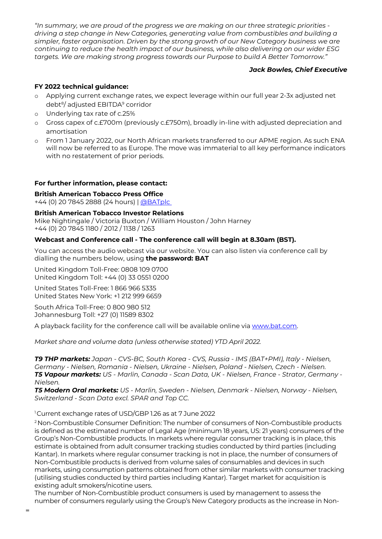*"In summary, we are proud of the progress we are making on our three strategic priorities driving a step change in New Categories, generating value from combustibles and building a simpler, faster organisation. Driven by the strong growth of our New Category business we are continuing to reduce the health impact of our business, while also delivering on our wider ESG targets. We are making strong progress towards our Purpose to build A Better Tomorrow."* 

### *Jack Bowles, Chief Executive*

## **FY 2022 technical guidance:**

- o Applying current exchange rates, we expect leverage within our full year 2-3x adjusted net debt8/ adjusted EBITDA9 corridor
- o Underlying tax rate of c.25%
- o Gross capex of c.£700m (previously c.£750m), broadly in-line with adjusted depreciation and amortisation
- will now be referred to as Europe. The move was immaterial to all key performance indicators o From 1 January 2022, our North African markets transferred to our APME region. As such ENA with no restatement of prior periods.

### **For further information, please contact:**

**British American Tobacco Press Office** 

+44 (0) 20 7845 2888 (24 hours) | @BATplc

### **British American Tobacco Investor Relations**

 Mike Nightingale / Victoria Buxton / William Houston / John Harney +44 (0) 20 7845 1180 / 2012 / 1138 / 1263

### **Webcast and Conference call - The conference call will begin at 8.30am (BST).**

You can access the audio webcast via our website. You can also listen via conference call by dialling the numbers below, using **the password: BAT** 

 United Kingdom Toll-Free: 0808 109 0700 United Kingdom Toll: +44 (0) 33 0551 0200

United States Toll-Free: 1 866 966 5335 United States New York: +1 212 999 6659

 South Africa Toll-Free: 0 800 980 512 Johannesburg Toll: +27 (0) 11589 8302

A playback facility for the conference call will be available online via [www.bat.com.](www.bat.com)

*Market share and volume data (unless otherwise stated) YTD April 2022.* 

*T9 THP markets: Japan - CVS-BC, South Korea - CVS, Russia - IMS (BAT+PMI), Italy - Nielsen, Germany - Nielsen, Romania - Nielsen, Ukraine - Nielsen, Poland - Nielsen, Czech - Nielsen. T5 Vapour markets: US - Marlin, Canada - Scan Data, UK - Nielsen, France - Strator, Germany - Nielsen.* 

*T5 Modern Oral markets: US - Marlin, Sweden - Nielsen, Denmark - Nielsen, Norway - Nielsen, Switzerland - Scan Data excl. SPAR and Top CC.* 

### <sup>1</sup> Current exchange rates of USD/GBP 1.26 as at 7 June 2022

 is defined as the estimated number of Legal Age (minimum 18 years, US: 21 years) consumers of the 2 Non-Combustible Consumer Definition: The number of consumers of Non-Combustible products Group's Non-Combustible products. In markets where regular consumer tracking is in place, this estimate is obtained from adult consumer tracking studies conducted by third parties (including Kantar). In markets where regular consumer tracking is not in place, the number of consumers of Non-Combustible products is derived from volume sales of consumables and devices in such markets, using consumption patterns obtained from other similar markets with consumer tracking (utilising studies conducted by third parties including Kantar). Target market for acquisition is existing adult smokers/nicotine users.

The number of Non-Combustible product consumers is used by management to assess the number of consumers regularly using the Group's New Category products as the increase in Non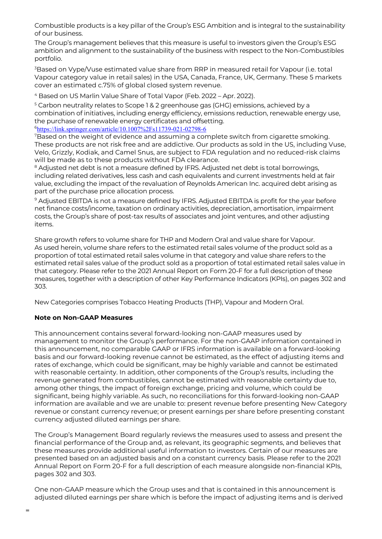Combustible products is a key pillar of the Group's ESG Ambition and is integral to the sustainability of our business.

The Group's management believes that this measure is useful to investors given the Group's ESG ambition and alignment to the sustainability of the business with respect to the Non-Combustibles portfolio.

3 Based on Vype/Vuse estimated value share from RRP in measured retail for Vapour (i.e. total Vapour category value in retail sales) in the USA, Canada, France, UK, Germany. These 5 markets cover an estimated c.75% of global closed system revenue.

4 Based on US Marlin Value Share of Total Vapor (Feb. 2022 – Apr. 2022).

<sup>5</sup> Carbon neutrality relates to Scope 1 & 2 greenhouse gas (GHG) emissions, achieved by a combination of initiatives, including energy efficiency, emissions reduction, renewable energy use, the purchase of renewable energy certificates and offsetting. <sup>6</sup>https://link.springer.com/article/10.1007%2Fs11739-021-02798-6

7Based on the weight of evidence and assuming a complete switch from cigarette smoking. These products are not risk free and are addictive. Our products as sold in the US, including Vuse, Velo, Grizzly, Kodiak, and Camel Snus, are subject to FDA regulation and no reduced-risk claims will be made as to these products without FDA clearance.

 part of the purchase price allocation process. <sup>8</sup> Adjusted net debt is not a measure defined by IFRS. Adjusted net debt is total borrowings, including related derivatives, less cash and cash equivalents and current investments held at fair value, excluding the impact of the revaluation of Reynolds American Inc. acquired debt arising as

9 Adjusted EBITDA is not a measure defined by IFRS. Adjusted EBITDA is profit for the year before net finance costs/income, taxation on ordinary activities, depreciation, amortisation, impairment costs, the Group's share of post-tax results of associates and joint ventures, and other adjusting items.

Share growth refers to volume share for THP and Modern Oral and value share for Vapour. As used herein, volume share refers to the estimated retail sales volume of the product sold as a proportion of total estimated retail sales volume in that category and value share refers to the estimated retail sales value of the product sold as a proportion of total estimated retail sales value in that category. Please refer to the 2021 Annual Report on Form 20‐F for a full description of these measures, together with a description of other Key Performance Indicators (KPIs), on pages 302 and 303.

New Categories comprises Tobacco Heating Products (THP), Vapour and Modern Oral.

### **Note on Non-GAAP Measures**

 significant, being highly variable. As such, no reconciliations for this forward-looking non-GAAP This announcement contains several forward-looking non-GAAP measures used by management to monitor the Group's performance. For the non-GAAP information contained in this announcement, no comparable GAAP or IFRS information is available on a forward-looking basis and our forward-looking revenue cannot be estimated, as the effect of adjusting items and rates of exchange, which could be significant, may be highly variable and cannot be estimated with reasonable certainty. In addition, other components of the Group's results, including the revenue generated from combustibles, cannot be estimated with reasonable certainty due to, among other things, the impact of foreign exchange, pricing and volume, which could be information are available and we are unable to: present revenue before presenting New Category revenue or constant currency revenue; or present earnings per share before presenting constant currency adjusted diluted earnings per share.

 presented based on an adjusted basis and on a constant currency basis. Please refer to the 2021 The Group's Management Board regularly reviews the measures used to assess and present the financial performance of the Group and, as relevant, its geographic segments, and believes that these measures provide additional useful information to investors. Certain of our measures are Annual Report on Form 20‐F for a full description of each measure alongside non-financial KPIs, pages 302 and 303.

 adjusted diluted earnings per share which is before the impact of adjusting items and is derived One non-GAAP measure which the Group uses and that is contained in this announcement is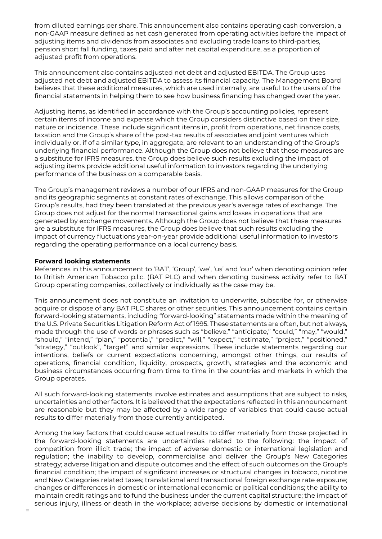from diluted earnings per share. This announcement also contains operating cash conversion, a non-GAAP measure defined as net cash generated from operating activities before the impact of adjusting items and dividends from associates and excluding trade loans to third-parties, pension short fall funding, taxes paid and after net capital expenditure, as a proportion of adjusted profit from operations.

This announcement also contains adjusted net debt and adjusted EBITDA. The Group uses adjusted net debt and adjusted EBITDA to assess its financial capacity. The Management Board believes that these additional measures, which are used internally, are useful to the users of the financial statements in helping them to see how business financing has changed over the year.

Adjusting items, as identified in accordance with the Group's accounting policies, represent certain items of income and expense which the Group considers distinctive based on their size, nature or incidence. These include significant items in, profit from operations, net finance costs, taxation and the Group's share of the post-tax results of associates and joint ventures which individually or, if of a similar type, in aggregate, are relevant to an understanding of the Group's underlying financial performance. Although the Group does not believe that these measures are a substitute for IFRS measures, the Group does believe such results excluding the impact of adjusting items provide additional useful information to investors regarding the underlying performance of the business on a comparable basis.

The Group's management reviews a number of our IFRS and non‐GAAP measures for the Group and its geographic segments at constant rates of exchange. This allows comparison of the Group's results, had they been translated at the previous year's average rates of exchange. The Group does not adjust for the normal transactional gains and losses in operations that are generated by exchange movements. Although the Group does not believe that these measures are a substitute for IFRS measures, the Group does believe that such results excluding the impact of currency fluctuations year‐on‐year provide additional useful information to investors regarding the operating performance on a local currency basis.

#### **Forward looking statements**

References in this announcement to 'BAT', 'Group', 'we', 'us' and 'our' when denoting opinion refer to British American Tobacco p.l.c. (BAT PLC) and when denoting business activity refer to BAT Group operating companies, collectively or individually as the case may be.

This announcement does not constitute an invitation to underwrite, subscribe for, or otherwise acquire or dispose of any BAT PLC shares or other securities. This announcement contains certain forward-looking statements, including "forward-looking" statements made within the meaning of the U.S. Private Securities Litigation Reform Act of 1995. These statements are often, but not always, made through the use of words or phrases such as "believe," "anticipate," "could," "may," "would," "should," "intend," "plan," "potential," "predict," "will," "expect," "estimate," "project," "positioned," "strategy," "outlook", "target" and similar expressions. These include statements regarding our intentions, beliefs or current expectations concerning, amongst other things, our results of operations, financial condition, liquidity, prospects, growth, strategies and the economic and business circumstances occurring from time to time in the countries and markets in which the Group operates.

 All such forward-looking statements involve estimates and assumptions that are subject to risks, are reasonable but they may be affected by a wide range of variables that could cause actual results to differ materially from those currently anticipated. uncertainties and other factors. It is believed that the expectations reflected in this announcement

 maintain credit ratings and to fund the business under the current capital structure; the impact of Among the key factors that could cause actual results to differ materially from those projected in the forward-looking statements are uncertainties related to the following: the impact of competition from illicit trade; the impact of adverse domestic or international legislation and regulation; the inability to develop, commercialise and deliver the Group's New Categories strategy; adverse litigation and dispute outcomes and the effect of such outcomes on the Group's financial condition; the impact of significant increases or structural changes in tobacco, nicotine and New Categories related taxes; translational and transactional foreign exchange rate exposure; changes or differences in domestic or international economic or political conditions; the ability to serious injury, illness or death in the workplace; adverse decisions by domestic or international